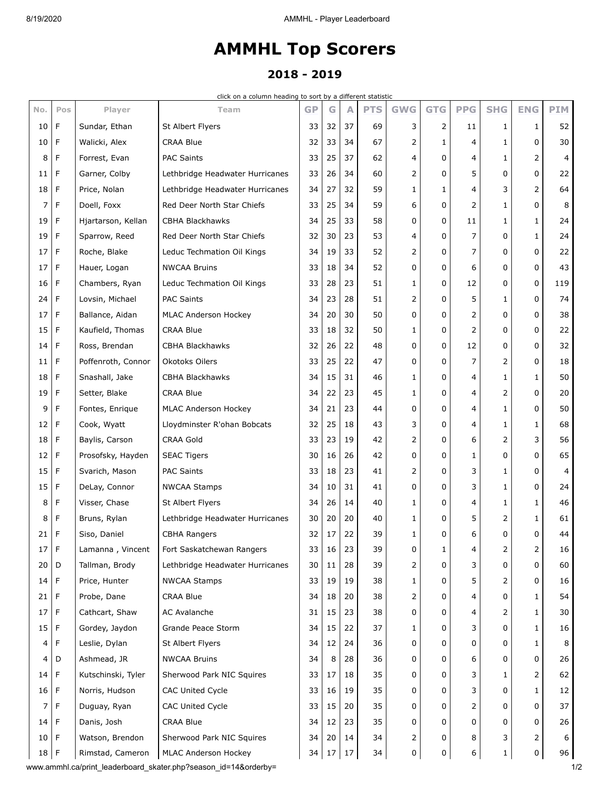## **AMMHL Top Scorers**

## **2018 - 2019**

click on a column heading to sort by a different statistic

| No.             | Pos | Player             | Team                            | <b>GP</b> | G  | A  | <b>PTS</b> | <b>GWG</b>   | <b>GTG</b>   | <b>PPG</b>     | <b>SHG</b>   | <b>ENG</b>   | <b>PIM</b> |
|-----------------|-----|--------------------|---------------------------------|-----------|----|----|------------|--------------|--------------|----------------|--------------|--------------|------------|
| 10              | F   | Sundar, Ethan      | St Albert Flyers                | 33        | 32 | 37 | 69         | 3            | 2            | 11             | 1            | 1            | 52         |
| 10              | F   | Walicki, Alex      | <b>CRAA Blue</b>                | 32        | 33 | 34 | 67         | 2            | 1            | 4              | $\mathbf{1}$ | 0            | 30         |
| 8               | F   | Forrest, Evan      | <b>PAC Saints</b>               | 33        | 25 | 37 | 62         | 4            | 0            | 4              | $\mathbf{1}$ | 2            | 4          |
| 11              | F   | Garner, Colby      | Lethbridge Headwater Hurricanes | 33        | 26 | 34 | 60         | 2            | 0            | 5              | 0            | 0            | 22         |
| 18              | F   | Price, Nolan       | Lethbridge Headwater Hurricanes | 34        | 27 | 32 | 59         | 1            | $\mathbf{1}$ | 4              | 3            | 2            | 64         |
| 7               | F   | Doell, Foxx        | Red Deer North Star Chiefs      | 33        | 25 | 34 | 59         | 6            | 0            | 2              | $\mathbf{1}$ | 0            | 8          |
| 19              | F   | Hjartarson, Kellan | <b>CBHA Blackhawks</b>          | 34        | 25 | 33 | 58         | 0            | 0            | 11             | 1            | 1            | 24         |
| 19              | F   | Sparrow, Reed      | Red Deer North Star Chiefs      | 32        | 30 | 23 | 53         | 4            | 0            | 7              | 0            | $\mathbf{1}$ | 24         |
| 17              | F   | Roche, Blake       | Leduc Techmation Oil Kings      | 34        | 19 | 33 | 52         | 2            | 0            | 7              | 0            | 0            | 22         |
| 17              | F   | Hauer, Logan       | <b>NWCAA Bruins</b>             | 33        | 18 | 34 | 52         | 0            | 0            | 6              | 0            | 0            | 43         |
| 16              | F   | Chambers, Ryan     | Leduc Techmation Oil Kings      | 33        | 28 | 23 | 51         | 1            | 0            | 12             | 0            | 0            | 119        |
| 24              | F   | Lovsin, Michael    | <b>PAC Saints</b>               | 34        | 23 | 28 | 51         | 2            | 0            | 5              | $\mathbf{1}$ | 0            | 74         |
| 17              | F   | Ballance, Aidan    | MLAC Anderson Hockey            | 34        | 20 | 30 | 50         | 0            | 0            | 2              | 0            | 0            | 38         |
| 15              | F   | Kaufield, Thomas   | <b>CRAA Blue</b>                | 33        | 18 | 32 | 50         | 1            | 0            | 2              | $\Omega$     | 0            | 22         |
| 14              | F   | Ross, Brendan      | <b>CBHA Blackhawks</b>          | 32        | 26 | 22 | 48         | 0            | 0            | 12             | 0            | 0            | 32         |
| 11              | F   | Poffenroth, Connor | Okotoks Oilers                  | 33        | 25 | 22 | 47         | 0            | 0            | 7              | 2            | 0            | 18         |
| 18              | F   | Snashall, Jake     | <b>CBHA Blackhawks</b>          | 34        | 15 | 31 | 46         | 1            | 0            | 4              | 1            | 1            | 50         |
| 19              | F   | Setter, Blake      | <b>CRAA Blue</b>                | 34        | 22 | 23 | 45         | 1            | 0            | 4              | 2            | 0            | 20         |
| 9               | F   | Fontes, Enrique    | MLAC Anderson Hockey            | 34        | 21 | 23 | 44         | 0            | 0            | 4              | $\mathbf{1}$ | 0            | 50         |
| 12              | F   | Cook, Wyatt        | Lloydminster R'ohan Bobcats     | 32        | 25 | 18 | 43         | 3            | 0            | 4              | 1            | 1            | 68         |
| 18              | F   | Baylis, Carson     | <b>CRAA Gold</b>                | 33        | 23 | 19 | 42         | 2            | 0            | 6              | 2            | 3            | 56         |
| 12              | F   | Prosofsky, Hayden  | <b>SEAC Tigers</b>              | 30        | 16 | 26 | 42         | 0            | 0            | $\mathbf{1}$   | $\Omega$     | 0            | 65         |
| 15              | F   | Svarich, Mason     | <b>PAC Saints</b>               | 33        | 18 | 23 | 41         | 2            | 0            | 3              | 1            | 0            | 4          |
| 15              | F   | DeLay, Connor      | <b>NWCAA Stamps</b>             | 34        | 10 | 31 | 41         | 0            | 0            | 3              | $\mathbf{1}$ | 0            | 24         |
| 8               | F   | Visser, Chase      | St Albert Flyers                | 34        | 26 | 14 | 40         | 1            | 0            | 4              | 1            | 1            | 46         |
| 8               | F   | Bruns, Rylan       | Lethbridge Headwater Hurricanes | 30        | 20 | 20 | 40         | 1            | 0            | 5              | 2            | 1            | 61         |
| 21              | F   | Siso, Daniel       | CBHA Rangers                    | 32        | 17 | 22 | 39         | 1            | 0            | 6              | 0            | 0            | 44         |
| 17 <sup>1</sup> | F   | Lamanna, Vincent   | Fort Saskatchewan Rangers       | 33        | 16 | 23 | 39         | 0            | 1            | 4              | 2            | 2            | 16         |
| 20              | D   | Tallman, Brody     | Lethbridge Headwater Hurricanes | 30        | 11 | 28 | 39         | 2            | 0            | 3              | 0            | 0            | 60         |
| $14$ F          |     | Price, Hunter      | <b>NWCAA Stamps</b>             | 33        | 19 | 19 | 38         | $\mathbf{1}$ | 0            | 5              | 2            | 0            | 16         |
| 21              | F   | Probe, Dane        | <b>CRAA Blue</b>                | 34        | 18 | 20 | 38         | 2            | 0            | 4              | 0            | 1            | 54         |
| 17              | F   | Cathcart, Shaw     | <b>AC Avalanche</b>             | 31        | 15 | 23 | 38         | 0            | 0            | 4              | 2            | 1            | 30         |
| 15              | F   | Gordey, Jaydon     | Grande Peace Storm              | 34        | 15 | 22 | 37         | 1            | 0            | 3              | 0            | 1            | 16         |
| 4               | F   | Leslie, Dylan      | St Albert Flyers                | 34        | 12 | 24 | 36         | 0            | 0            | 0              | 0            | 1            | 8          |
| 4               | D   | Ashmead, JR        | <b>NWCAA Bruins</b>             | 34        | 8  | 28 | 36         | 0            | 0            | 6              | 0            | 0            | 26         |
| 14              | F   | Kutschinski, Tyler | Sherwood Park NIC Squires       | 33        | 17 | 18 | 35         | 0            | 0            | 3              | 1            | 2            | 62         |
| 16              | F   | Norris, Hudson     | CAC United Cycle                | 33        | 16 | 19 | 35         | 0            | 0            | 3              | 0            | 1            | 12         |
| 7               | F   | Duguay, Ryan       | CAC United Cycle                | 33        | 15 | 20 | 35         | 0            | 0            | $\overline{2}$ | 0            | 0            | 37         |
| 14              | F   | Danis, Josh        | <b>CRAA Blue</b>                | 34        | 12 | 23 | 35         | 0            | 0            | 0              | 0            | 0            | 26         |
| $10$ F          |     | Watson, Brendon    | Sherwood Park NIC Squires       | 34        | 20 | 14 | 34         | 2            | 0            | 8              | 3            | 2            | 6          |
| $18$ F          |     | Rimstad, Cameron   | MLAC Anderson Hockey            | 34        | 17 | 17 | 34         | $\mathsf{O}$ | 0            | 6              | $\mathbf{1}$ | 0            | 96         |

www.ammhl.ca/print\_leaderboard\_skater.php?season\_id=14&orderby= 1/2